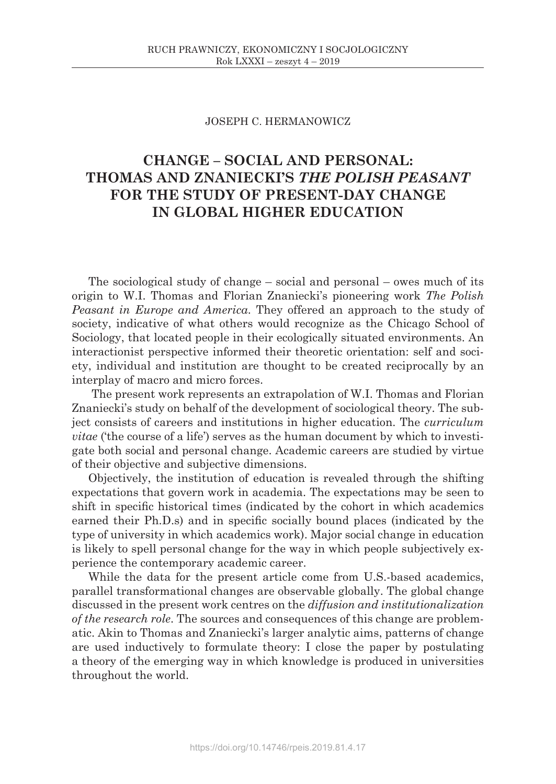## JOSEPH C. HERMANOWICZ

# **CHANGE – SOCIAL AND PERSONAL: THOMAS AND ZNANIECKI'S** *THE POLISH PEASANT* **FOR THE STUDY OF PRESENT-DAY CHANGE IN GLOBAL HIGHER EDUCATION**

The sociological study of change – social and personal – owes much of its origin to W.I. Thomas and Florian Znaniecki's pioneering work *The Polish Peasant in Europe and America*. They offered an approach to the study of society, indicative of what others would recognize as the Chicago School of Sociology, that located people in their ecologically situated environments. An interactionist perspective informed their theoretic orientation: self and society, individual and institution are thought to be created reciprocally by an interplay of macro and micro forces.

The present work represents an extrapolation of W.I. Thomas and Florian Znaniecki's study on behalf of the development of sociological theory. The subject consists of careers and institutions in higher education. The *curriculum vitae* ('the course of a life') serves as the human document by which to investigate both social and personal change. Academic careers are studied by virtue of their objective and subjective dimensions.

Objectively, the institution of education is revealed through the shifting expectations that govern work in academia. The expectations may be seen to shift in specific historical times (indicated by the cohort in which academics earned their Ph.D.s) and in specific socially bound places (indicated by the type of university in which academics work). Major social change in education is likely to spell personal change for the way in which people subjectively experience the contemporary academic career.

While the data for the present article come from U.S.-based academics, parallel transformational changes are observable globally. The global change discussed in the present work centres on the *diffusion and institutionalization of the research role*. The sources and consequences of this change are problematic. Akin to Thomas and Znaniecki's larger analytic aims, patterns of change are used inductively to formulate theory: I close the paper by postulating a theory of the emerging way in which knowledge is produced in universities throughout the world.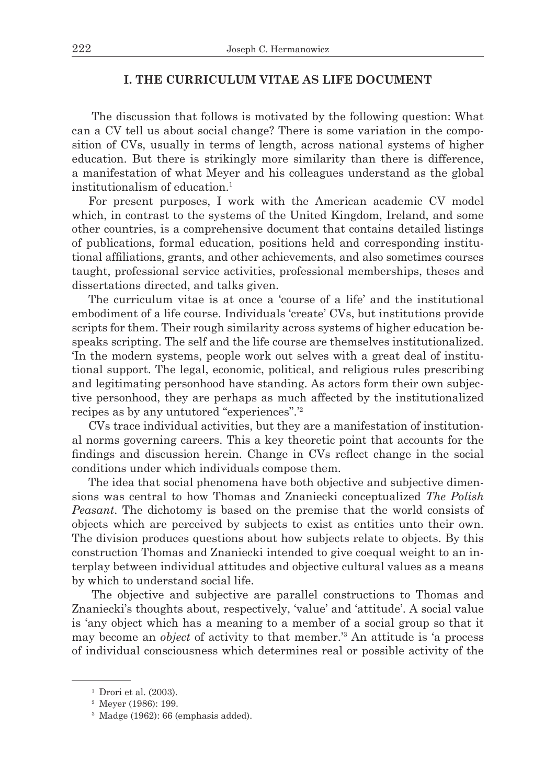## **I. THE CURRICULUM VITAE AS LIFE DOCUMENT**

The discussion that follows is motivated by the following question: What can a CV tell us about social change? There is some variation in the composition of CVs, usually in terms of length, across national systems of higher education. But there is strikingly more similarity than there is difference, a manifestation of what Meyer and his colleagues understand as the global institutionalism of education.1

For present purposes, I work with the American academic CV model which, in contrast to the systems of the United Kingdom, Ireland, and some other countries, is a comprehensive document that contains detailed listings of publications, formal education, positions held and corresponding institutional affiliations, grants, and other achievements, and also sometimes courses taught, professional service activities, professional memberships, theses and dissertations directed, and talks given.

The curriculum vitae is at once a 'course of a life' and the institutional embodiment of a life course. Individuals 'create' CVs, but institutions provide scripts for them. Their rough similarity across systems of higher education bespeaks scripting. The self and the life course are themselves institutionalized. 'In the modern systems, people work out selves with a great deal of institutional support. The legal, economic, political, and religious rules prescribing and legitimating personhood have standing. As actors form their own subjective personhood, they are perhaps as much affected by the institutionalized recipes as by any untutored "experiences".'2

CVs trace individual activities, but they are a manifestation of institutional norms governing careers. This a key theoretic point that accounts for the findings and discussion herein. Change in CVs reflect change in the social conditions under which individuals compose them.

The idea that social phenomena have both objective and subjective dimensions was central to how Thomas and Znaniecki conceptualized *The Polish Peasant*. The dichotomy is based on the premise that the world consists of objects which are perceived by subjects to exist as entities unto their own. The division produces questions about how subjects relate to objects. By this construction Thomas and Znaniecki intended to give coequal weight to an interplay between individual attitudes and objective cultural values as a means by which to understand social life.

The objective and subjective are parallel constructions to Thomas and Znaniecki's thoughts about, respectively, 'value' and 'attitude'. A social value is 'any object which has a meaning to a member of a social group so that it may become an *object* of activity to that member.'3 An attitude is 'a process of individual consciousness which determines real or possible activity of the

 $<sup>1</sup>$  Drori et al. (2003).</sup>

<sup>2</sup> Meyer (1986): 199.

<sup>3</sup> Madge (1962): 66 (emphasis added).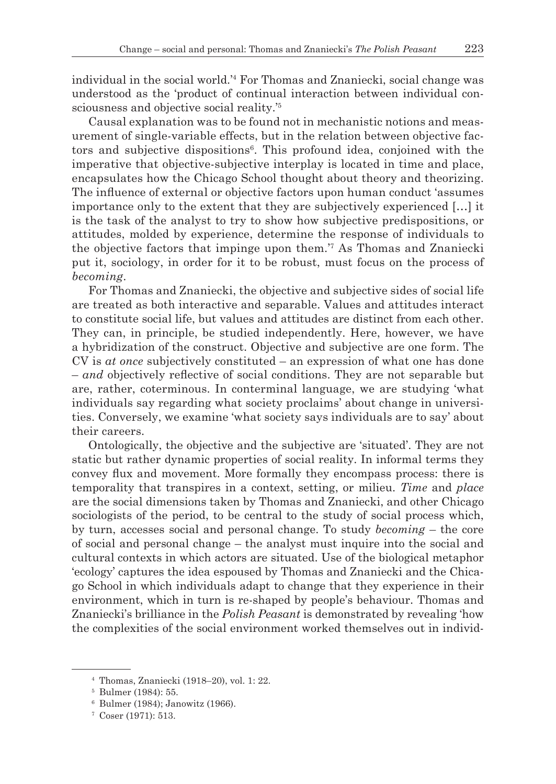individual in the social world.'4 For Thomas and Znaniecki, social change was understood as the 'product of continual interaction between individual consciousness and objective social reality.'5

Causal explanation was to be found not in mechanistic notions and measurement of single-variable effects, but in the relation between objective factors and subjective dispositions6 . This profound idea, conjoined with the imperative that objective-subjective interplay is located in time and place, encapsulates how the Chicago School thought about theory and theorizing. The influence of external or objective factors upon human conduct 'assumes importance only to the extent that they are subjectively experienced […] it is the task of the analyst to try to show how subjective predispositions, or attitudes, molded by experience, determine the response of individuals to the objective factors that impinge upon them.'7 As Thomas and Znaniecki put it, sociology, in order for it to be robust, must focus on the process of *becoming*.

For Thomas and Znaniecki, the objective and subjective sides of social life are treated as both interactive and separable. Values and attitudes interact to constitute social life, but values and attitudes are distinct from each other. They can, in principle, be studied independently. Here, however, we have a hybridization of the construct. Objective and subjective are one form. The CV is *at once* subjectively constituted – an expression of what one has done – *and* objectively reflective of social conditions. They are not separable but are, rather, coterminous. In conterminal language, we are studying 'what individuals say regarding what society proclaims' about change in universities. Conversely, we examine 'what society says individuals are to say' about their careers.

Ontologically, the objective and the subjective are 'situated'. They are not static but rather dynamic properties of social reality. In informal terms they convey flux and movement. More formally they encompass process: there is temporality that transpires in a context, setting, or milieu. *Time* and *place* are the social dimensions taken by Thomas and Znaniecki, and other Chicago sociologists of the period, to be central to the study of social process which, by turn, accesses social and personal change. To study *becoming* – the core of social and personal change – the analyst must inquire into the social and cultural contexts in which actors are situated. Use of the biological metaphor 'ecology' captures the idea espoused by Thomas and Znaniecki and the Chicago School in which individuals adapt to change that they experience in their environment, which in turn is re-shaped by people's behaviour. Thomas and Znaniecki's brilliance in the *Polish Peasant* is demonstrated by revealing 'how the complexities of the social environment worked themselves out in individ-

<sup>4</sup> Thomas, Znaniecki (1918–20), vol. 1: 22.

<sup>5</sup> Bulmer (1984): 55.

<sup>6</sup> Bulmer (1984); Janowitz (1966).

<sup>7</sup> Coser (1971): 513.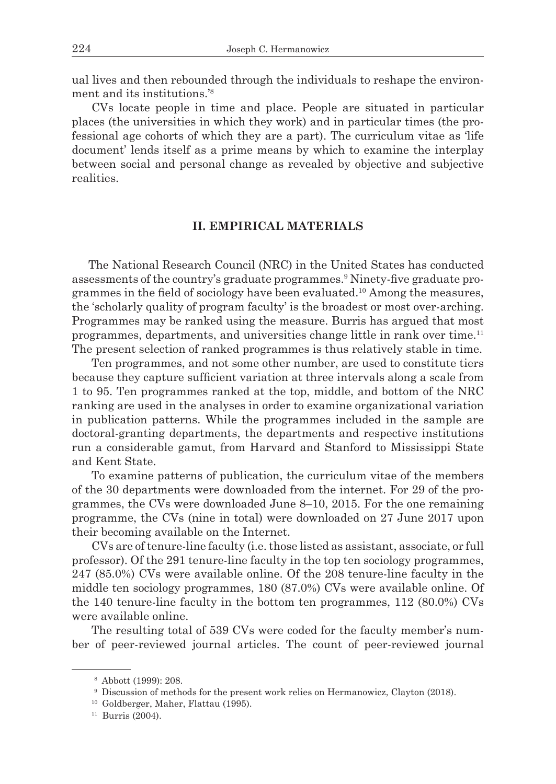ual lives and then rebounded through the individuals to reshape the environment and its institutions.'8

CVs locate people in time and place. People are situated in particular places (the universities in which they work) and in particular times (the professional age cohorts of which they are a part). The curriculum vitae as 'life document' lends itself as a prime means by which to examine the interplay between social and personal change as revealed by objective and subjective realities.

# **II. EMPIRICAL MATERIALS**

The National Research Council (NRC) in the United States has conducted assessments of the country's graduate programmes.9 Ninety-five graduate programmes in the field of sociology have been evaluated.<sup>10</sup> Among the measures, the 'scholarly quality of program faculty' is the broadest or most over-arching. Programmes may be ranked using the measure. Burris has argued that most programmes, departments, and universities change little in rank over time.11 The present selection of ranked programmes is thus relatively stable in time.

Ten programmes, and not some other number, are used to constitute tiers because they capture sufficient variation at three intervals along a scale from 1 to 95. Ten programmes ranked at the top, middle, and bottom of the NRC ranking are used in the analyses in order to examine organizational variation in publication patterns. While the programmes included in the sample are doctoral-granting departments, the departments and respective institutions run a considerable gamut, from Harvard and Stanford to Mississippi State and Kent State.

To examine patterns of publication, the curriculum vitae of the members of the 30 departments were downloaded from the internet. For 29 of the programmes, the CVs were downloaded June 8–10, 2015. For the one remaining programme, the CVs (nine in total) were downloaded on 27 June 2017 upon their becoming available on the Internet.

CVs are of tenure-line faculty (i.e. those listed as assistant, associate, or full professor). Of the 291 tenure-line faculty in the top ten sociology programmes, 247 (85.0%) CVs were available online. Of the 208 tenure-line faculty in the middle ten sociology programmes, 180 (87.0%) CVs were available online. Of the 140 tenure-line faculty in the bottom ten programmes, 112 (80.0%) CVs were available online.

The resulting total of 539 CVs were coded for the faculty member's number of peer-reviewed journal articles. The count of peer-reviewed journal

<sup>8</sup> Abbott (1999): 208.

<sup>9</sup> Discussion of methods for the present work relies on Hermanowicz, Clayton (2018).

<sup>10</sup> Goldberger, Maher, Flattau (1995).

 $11$  Burris (2004).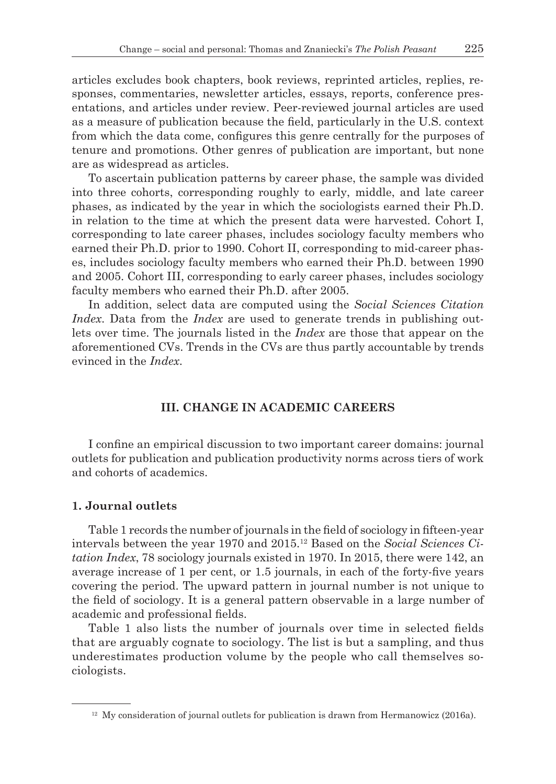articles excludes book chapters, book reviews, reprinted articles, replies, responses, commentaries, newsletter articles, essays, reports, conference presentations, and articles under review. Peer-reviewed journal articles are used as a measure of publication because the field, particularly in the U.S. context from which the data come, configures this genre centrally for the purposes of tenure and promotions. Other genres of publication are important, but none are as widespread as articles.

To ascertain publication patterns by career phase, the sample was divided into three cohorts, corresponding roughly to early, middle, and late career phases, as indicated by the year in which the sociologists earned their Ph.D. in relation to the time at which the present data were harvested. Cohort I, corresponding to late career phases, includes sociology faculty members who earned their Ph.D. prior to 1990. Cohort II, corresponding to mid-career phases, includes sociology faculty members who earned their Ph.D. between 1990 and 2005. Cohort III, corresponding to early career phases, includes sociology faculty members who earned their Ph.D. after 2005.

In addition, select data are computed using the *Social Sciences Citation Index*. Data from the *Index* are used to generate trends in publishing outlets over time. The journals listed in the *Index* are those that appear on the aforementioned CVs. Trends in the CVs are thus partly accountable by trends evinced in the *Index*.

# **III. CHANGE IN ACADEMIC CAREERS**

I confine an empirical discussion to two important career domains: journal outlets for publication and publication productivity norms across tiers of work and cohorts of academics.

#### **1. Journal outlets**

Table 1 records the number of journals in the field of sociology in fifteen-year intervals between the year 1970 and 2015.12 Based on the *Social Sciences Citation Index*, 78 sociology journals existed in 1970. In 2015, there were 142, an average increase of 1 per cent, or 1.5 journals, in each of the forty-five years covering the period. The upward pattern in journal number is not unique to the field of sociology. It is a general pattern observable in a large number of academic and professional fields.

Table 1 also lists the number of journals over time in selected fields that are arguably cognate to sociology. The list is but a sampling, and thus underestimates production volume by the people who call themselves sociologists.

 $12$  My consideration of journal outlets for publication is drawn from Hermanowicz (2016a).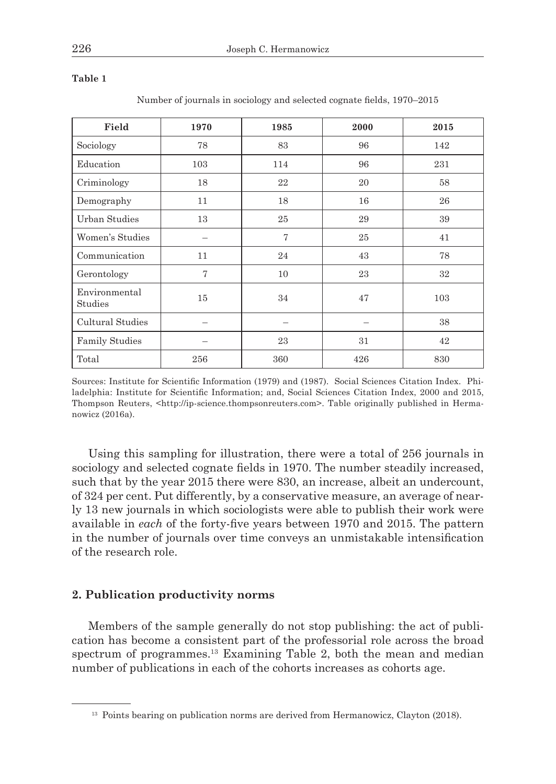| Field                    | 1970 | 1985           | 2000 | 2015 |
|--------------------------|------|----------------|------|------|
| Sociology                | 78   | 83             | 96   | 142  |
| Education                | 103  | 114            | 96   | 231  |
| Criminology              | 18   | 22             | 20   | 58   |
| Demography               | 11   | 18             | 16   | 26   |
| <b>Urban Studies</b>     | 13   | 25             | 29   | 39   |
| Women's Studies          |      | $\overline{7}$ | 25   | 41   |
| Communication            | 11   | 24             | 43   | 78   |
| Gerontology              | 7    | 10             | 23   | 32   |
| Environmental<br>Studies | 15   | 34             | 47   | 103  |
| Cultural Studies         |      |                |      | 38   |
| <b>Family Studies</b>    |      | 23             | 31   | 42   |
| Total                    | 256  | 360            | 426  | 830  |

**Table 1**

Number of journals in sociology and selected cognate fields, 1970–2015

Sources: Institute for Scientific Information (1979) and (1987). Social Sciences Citation Index. Philadelphia: Institute for Scientific Information; and, Social Sciences Citation Index, 2000 and 2015, Thompson Reuters, <http://ip-science.thompsonreuters.com>. Table originally published in Hermanowicz (2016a).

Using this sampling for illustration, there were a total of 256 journals in sociology and selected cognate fields in 1970. The number steadily increased, such that by the year 2015 there were 830, an increase, albeit an undercount, of 324 per cent. Put differently, by a conservative measure, an average of nearly 13 new journals in which sociologists were able to publish their work were available in *each* of the forty-five years between 1970 and 2015. The pattern in the number of journals over time conveys an unmistakable intensification of the research role.

## **2. Publication productivity norms**

Members of the sample generally do not stop publishing: the act of publication has become a consistent part of the professorial role across the broad spectrum of programmes.13 Examining Table 2, both the mean and median number of publications in each of the cohorts increases as cohorts age.

<sup>&</sup>lt;sup>13</sup> Points bearing on publication norms are derived from Hermanowicz, Clayton (2018).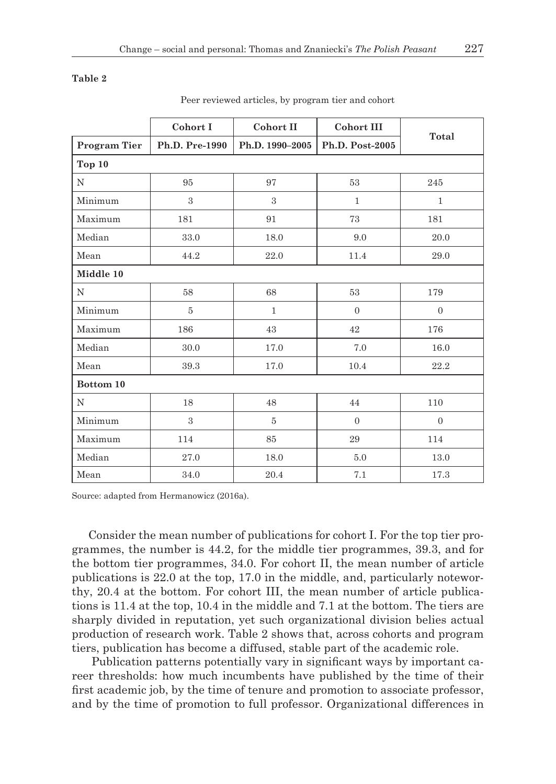#### **Table 2**

|              | Cohort I       | Cohort II       | <b>Cohort III</b> | Total          |  |
|--------------|----------------|-----------------|-------------------|----------------|--|
| Program Tier | Ph.D. Pre-1990 | Ph.D. 1990-2005 | Ph.D. Post-2005   |                |  |
| Top 10       |                |                 |                   |                |  |
| N            | 95             | 97              | 53                | 245            |  |
| Minimum      | 3              | 3               | $\mathbf{1}$      | $\mathbf{1}$   |  |
| Maximum      | 181            | 91              | 73                | 181            |  |
| Median       | 33.0           | 18.0            | 9.0               | 20.0           |  |
| Mean         | 44.2           | 22.0            | 11.4              | 29.0           |  |
| Middle 10    |                |                 |                   |                |  |
| N            | 58             | 68              | 53                | 179            |  |
| Minimum      | $\overline{5}$ | $\mathbf{1}$    | $\overline{0}$    | $\overline{0}$ |  |
| Maximum      | 186            | 43              | 42                | 176            |  |
| Median       | 30.0           | 17.0            | 7.0               | 16.0           |  |
| Mean         | 39.3           | 17.0            | 10.4              | 22.2           |  |
| Bottom 10    |                |                 |                   |                |  |
| N            | 18             | 48              | 44                | 110            |  |
| Minimum      | 3              | 5               | $\overline{0}$    | $\overline{0}$ |  |
| Maximum      | 114            | 85              | 29                | 114            |  |
| Median       | 27.0           | 18.0            | 5.0               | 13.0           |  |
| Mean         | 34.0           | 20.4            | 7.1               | 17.3           |  |

Peer reviewed articles, by program tier and cohort

Source: adapted from Hermanowicz (2016a).

Consider the mean number of publications for cohort I. For the top tier programmes, the number is 44.2, for the middle tier programmes, 39.3, and for the bottom tier programmes, 34.0. For cohort II, the mean number of article publications is 22.0 at the top, 17.0 in the middle, and, particularly noteworthy, 20.4 at the bottom. For cohort III, the mean number of article publications is 11.4 at the top, 10.4 in the middle and 7.1 at the bottom. The tiers are sharply divided in reputation, yet such organizational division belies actual production of research work. Table 2 shows that, across cohorts and program tiers, publication has become a diffused, stable part of the academic role.

Publication patterns potentially vary in significant ways by important career thresholds: how much incumbents have published by the time of their first academic job, by the time of tenure and promotion to associate professor, and by the time of promotion to full professor. Organizational differences in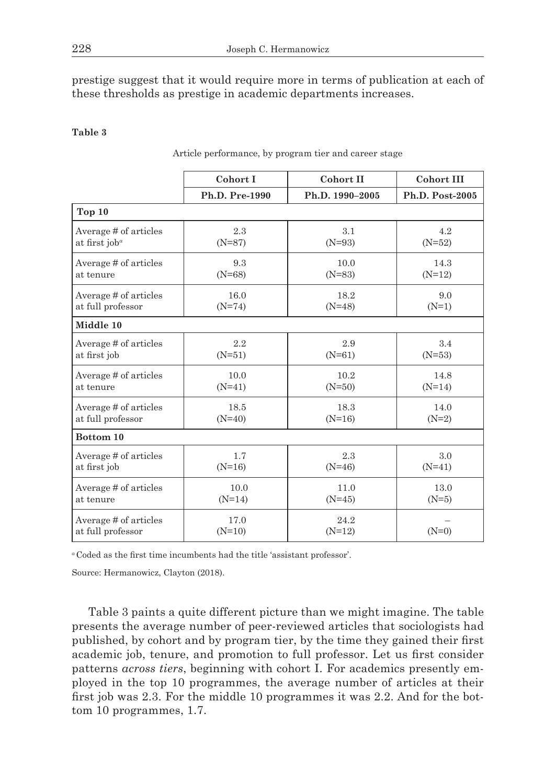prestige suggest that it would require more in terms of publication at each of these thresholds as prestige in academic departments increases.

## **Table 3**

| Article performance, by program tier and career stage |  |  |  |
|-------------------------------------------------------|--|--|--|
|                                                       |  |  |  |

|                                     | Cohort I       | Cohort II       | <b>Cohort III</b> |  |  |  |
|-------------------------------------|----------------|-----------------|-------------------|--|--|--|
|                                     | Ph.D. Pre-1990 | Ph.D. 1990-2005 | Ph.D. Post-2005   |  |  |  |
| Top 10                              |                |                 |                   |  |  |  |
| Average # of articles               | 2.3            | 3.1             | 4.2               |  |  |  |
| at first $i$ ob <sup><i>a</i></sup> | $(N=87)$       | $(N=93)$        | $(N=52)$          |  |  |  |
| Average # of articles               | 9.3            | 10.0            | 14.3              |  |  |  |
| at tenure                           | $(N=68)$       | $(N=83)$        | $(N=12)$          |  |  |  |
| Average # of articles               | 16.0           | 18.2            | 9.0               |  |  |  |
| at full professor                   | $(N=74)$       | $(N=48)$        | $(N=1)$           |  |  |  |
| Middle 10                           |                |                 |                   |  |  |  |
| Average # of articles               | 2.2            | 2.9             | 3.4               |  |  |  |
| at first job                        | $(N=51)$       | $(N=61)$        | $(N=53)$          |  |  |  |
| Average # of articles               | 10.0           | 10.2            | 14.8              |  |  |  |
| at tenure                           | $(N=41)$       | $(N=50)$        | $(N=14)$          |  |  |  |
| Average # of articles               | 18.5           | 18.3            | 14.0              |  |  |  |
| at full professor                   | $(N=40)$       | $(N=16)$        | $(N=2)$           |  |  |  |
| Bottom 10                           |                |                 |                   |  |  |  |
| Average # of articles               | 1.7            | 2.3             | 3.0               |  |  |  |
| at first job                        | $(N=16)$       | $(N=46)$        | $(N=41)$          |  |  |  |
| Average # of articles               | 10.0           | 11.0            | 13.0              |  |  |  |
| at tenure                           | $(N=14)$       | $(N=45)$        | $(N=5)$           |  |  |  |
| Average # of articles               | 17.0           | 24.2            | $(N=0)$           |  |  |  |
| at full professor                   | $(N=10)$       | $(N=12)$        |                   |  |  |  |

*<sup>a</sup>* Coded as the first time incumbents had the title 'assistant professor'.

Source: Hermanowicz, Clayton (2018).

Table 3 paints a quite different picture than we might imagine. The table presents the average number of peer-reviewed articles that sociologists had published, by cohort and by program tier, by the time they gained their first academic job, tenure, and promotion to full professor. Let us first consider patterns *across tiers*, beginning with cohort I. For academics presently employed in the top 10 programmes, the average number of articles at their first job was 2.3. For the middle 10 programmes it was 2.2. And for the bottom 10 programmes, 1.7.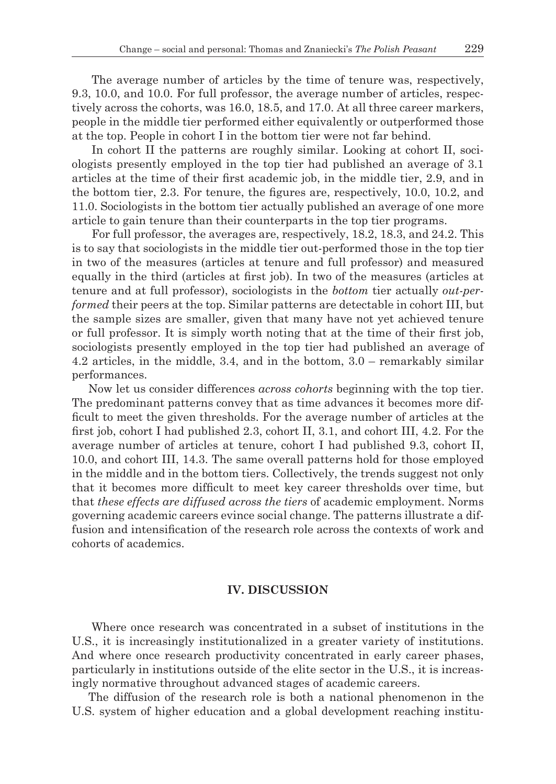The average number of articles by the time of tenure was, respectively, 9.3, 10.0, and 10.0. For full professor, the average number of articles, respectively across the cohorts, was 16.0, 18.5, and 17.0. At all three career markers, people in the middle tier performed either equivalently or outperformed those at the top. People in cohort I in the bottom tier were not far behind.

In cohort II the patterns are roughly similar. Looking at cohort II, sociologists presently employed in the top tier had published an average of 3.1 articles at the time of their first academic job, in the middle tier, 2.9, and in the bottom tier, 2.3. For tenure, the figures are, respectively, 10.0, 10.2, and 11.0. Sociologists in the bottom tier actually published an average of one more article to gain tenure than their counterparts in the top tier programs.

For full professor, the averages are, respectively, 18.2, 18.3, and 24.2. This is to say that sociologists in the middle tier out-performed those in the top tier in two of the measures (articles at tenure and full professor) and measured equally in the third (articles at first job). In two of the measures (articles at tenure and at full professor), sociologists in the *bottom* tier actually *out-performed* their peers at the top. Similar patterns are detectable in cohort III, but the sample sizes are smaller, given that many have not yet achieved tenure or full professor. It is simply worth noting that at the time of their first job, sociologists presently employed in the top tier had published an average of 4.2 articles, in the middle, 3.4, and in the bottom, 3.0 – remarkably similar performances.

Now let us consider differences *across cohorts* beginning with the top tier. The predominant patterns convey that as time advances it becomes more difficult to meet the given thresholds. For the average number of articles at the first job, cohort I had published 2.3, cohort II, 3.1, and cohort III, 4.2. For the average number of articles at tenure, cohort I had published 9.3, cohort II, 10.0, and cohort III, 14.3. The same overall patterns hold for those employed in the middle and in the bottom tiers. Collectively, the trends suggest not only that it becomes more difficult to meet key career thresholds over time, but that *these effects are diffused across the tiers* of academic employment. Norms governing academic careers evince social change. The patterns illustrate a diffusion and intensification of the research role across the contexts of work and cohorts of academics.

## **IV. DISCUSSION**

Where once research was concentrated in a subset of institutions in the U.S., it is increasingly institutionalized in a greater variety of institutions. And where once research productivity concentrated in early career phases, particularly in institutions outside of the elite sector in the U.S., it is increasingly normative throughout advanced stages of academic careers.

The diffusion of the research role is both a national phenomenon in the U.S. system of higher education and a global development reaching institu-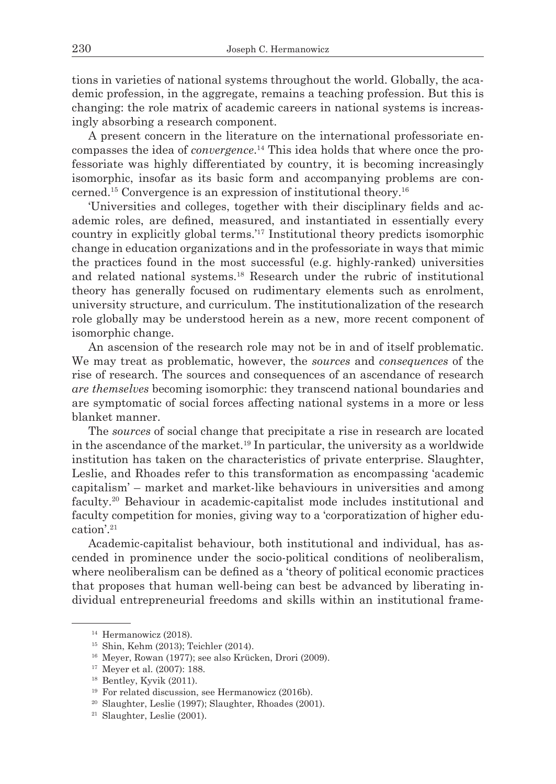tions in varieties of national systems throughout the world. Globally, the academic profession, in the aggregate, remains a teaching profession. But this is changing: the role matrix of academic careers in national systems is increasingly absorbing a research component.

A present concern in the literature on the international professoriate encompasses the idea of *convergence*. 14 This idea holds that where once the professoriate was highly differentiated by country, it is becoming increasingly isomorphic, insofar as its basic form and accompanying problems are concerned.15 Convergence is an expression of institutional theory.16

'Universities and colleges, together with their disciplinary fields and academic roles, are defined, measured, and instantiated in essentially every country in explicitly global terms.'17 Institutional theory predicts isomorphic change in education organizations and in the professoriate in ways that mimic the practices found in the most successful (e.g. highly-ranked) universities and related national systems.18 Research under the rubric of institutional theory has generally focused on rudimentary elements such as enrolment, university structure, and curriculum. The institutionalization of the research role globally may be understood herein as a new, more recent component of isomorphic change.

An ascension of the research role may not be in and of itself problematic. We may treat as problematic, however, the *sources* and *consequences* of the rise of research. The sources and consequences of an ascendance of research *are themselves* becoming isomorphic: they transcend national boundaries and are symptomatic of social forces affecting national systems in a more or less blanket manner.

The *sources* of social change that precipitate a rise in research are located in the ascendance of the market.19 In particular, the university as a worldwide institution has taken on the characteristics of private enterprise. Slaughter, Leslie, and Rhoades refer to this transformation as encompassing 'academic capitalism' – market and market-like behaviours in universities and among faculty.<sup>20</sup> Behaviour in academic-capitalist mode includes institutional and faculty competition for monies, giving way to a 'corporatization of higher education'.21

Academic-capitalist behaviour, both institutional and individual, has ascended in prominence under the socio-political conditions of neoliberalism, where neoliberalism can be defined as a 'theory of political economic practices that proposes that human well-being can best be advanced by liberating individual entrepreneurial freedoms and skills within an institutional frame-

<sup>&</sup>lt;sup>14</sup> Hermanowicz (2018).

<sup>15</sup> Shin, Kehm (2013); Teichler (2014).

<sup>16</sup> Meyer, Rowan (1977); see also Krücken, Drori (2009). 17 Meyer et al. (2007): 188.

<sup>18</sup> Bentley, Kyvik (2011).

<sup>&</sup>lt;sup>19</sup> For related discussion, see Hermanowicz (2016b).

<sup>20</sup> Slaughter, Leslie (1997); Slaughter, Rhoades (2001).

 $21$  Slaughter, Leslie (2001).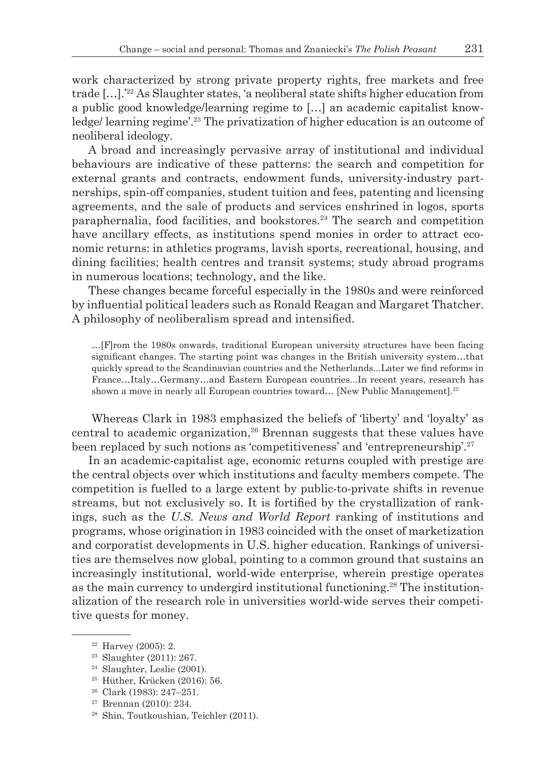work characterized by strong private property rights, free markets and free trade […].'22 As Slaughter states, 'a neoliberal state shifts higher education from a public good knowledge/learning regime to […] an academic capitalist knowledge/ learning regime'.23 The privatization of higher education is an outcome of neoliberal ideology.

A broad and increasingly pervasive array of institutional and individual behaviours are indicative of these patterns: the search and competition for external grants and contracts, endowment funds, university-industry partnerships, spin-off companies, student tuition and fees, patenting and licensing agreements, and the sale of products and services enshrined in logos, sports paraphernalia, food facilities, and bookstores.<sup>24</sup> The search and competition have ancillary effects, as institutions spend monies in order to attract economic returns: in athletics programs, lavish sports, recreational, housing, and dining facilities; health centres and transit systems; study abroad programs in numerous locations; technology, and the like.

These changes became forceful especially in the 1980s and were reinforced by influential political leaders such as Ronald Reagan and Margaret Thatcher. A philosophy of neoliberalism spread and intensified.

…[F]rom the 1980s onwards, traditional European university structures have been facing significant changes. The starting point was changes in the British university system…that quickly spread to the Scandinavian countries and the Netherlands...Later we find reforms in France…Italy…Germany…and Eastern European countries...In recent years, research has shown a move in nearly all European countries toward... [New Public Management].<sup>25</sup>

Whereas Clark in 1983 emphasized the beliefs of 'liberty' and 'loyalty' as central to academic organization,<sup>26</sup> Brennan suggests that these values have been replaced by such notions as 'competitiveness' and 'entrepreneurship'.27

In an academic-capitalist age, economic returns coupled with prestige are the central objects over which institutions and faculty members compete. The competition is fuelled to a large extent by public-to-private shifts in revenue streams, but not exclusively so. It is fortified by the crystallization of rankings, such as the *U.S. News and World Report* ranking of institutions and programs, whose origination in 1983 coincided with the onset of marketization and corporatist developments in U.S. higher education. Rankings of universities are themselves now global, pointing to a common ground that sustains an increasingly institutional, world-wide enterprise, wherein prestige operates as the main currency to undergird institutional functioning.<sup>28</sup> The institutionalization of the research role in universities world-wide serves their competitive quests for money.

- <sup>25</sup> Hüther, Krücken (2016): 56.
- <sup>26</sup> Clark (1983): 247–251.
- <sup>27</sup> Brennan (2010): 234.
- <sup>28</sup> Shin, Toutkoushian, Teichler (2011).

 $22$  Harvey (2005): 2.

<sup>23</sup> Slaughter (2011): 267.

<sup>24</sup> Slaughter, Leslie (2001).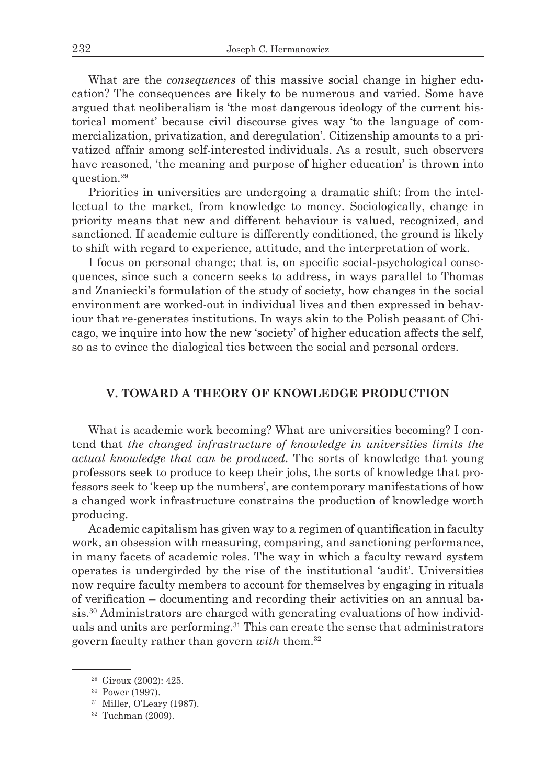What are the *consequences* of this massive social change in higher education? The consequences are likely to be numerous and varied. Some have argued that neoliberalism is 'the most dangerous ideology of the current historical moment' because civil discourse gives way 'to the language of commercialization, privatization, and deregulation'. Citizenship amounts to a privatized affair among self-interested individuals. As a result, such observers have reasoned, 'the meaning and purpose of higher education' is thrown into question.<sup>29</sup>

Priorities in universities are undergoing a dramatic shift: from the intellectual to the market, from knowledge to money. Sociologically, change in priority means that new and different behaviour is valued, recognized, and sanctioned. If academic culture is differently conditioned, the ground is likely to shift with regard to experience, attitude, and the interpretation of work.

I focus on personal change; that is, on specific social-psychological consequences, since such a concern seeks to address, in ways parallel to Thomas and Znaniecki's formulation of the study of society, how changes in the social environment are worked-out in individual lives and then expressed in behaviour that re-generates institutions. In ways akin to the Polish peasant of Chicago, we inquire into how the new 'society' of higher education affects the self, so as to evince the dialogical ties between the social and personal orders.

# **V. TOWARD A THEORY OF KNOWLEDGE PRODUCTION**

What is academic work becoming? What are universities becoming? I contend that *the changed infrastructure of knowledge in universities limits the actual knowledge that can be produced*. The sorts of knowledge that young professors seek to produce to keep their jobs, the sorts of knowledge that professors seek to 'keep up the numbers', are contemporary manifestations of how a changed work infrastructure constrains the production of knowledge worth producing.

Academic capitalism has given way to a regimen of quantification in faculty work, an obsession with measuring, comparing, and sanctioning performance, in many facets of academic roles. The way in which a faculty reward system operates is undergirded by the rise of the institutional 'audit'. Universities now require faculty members to account for themselves by engaging in rituals of verification – documenting and recording their activities on an annual basis.30 Administrators are charged with generating evaluations of how individuals and units are performing.<sup>31</sup> This can create the sense that administrators govern faculty rather than govern *with* them.32

<sup>29</sup> Giroux (2002): 425.

<sup>30</sup> Power (1997).

<sup>31</sup> Miller, O'Leary (1987).

<sup>32</sup> Tuchman (2009).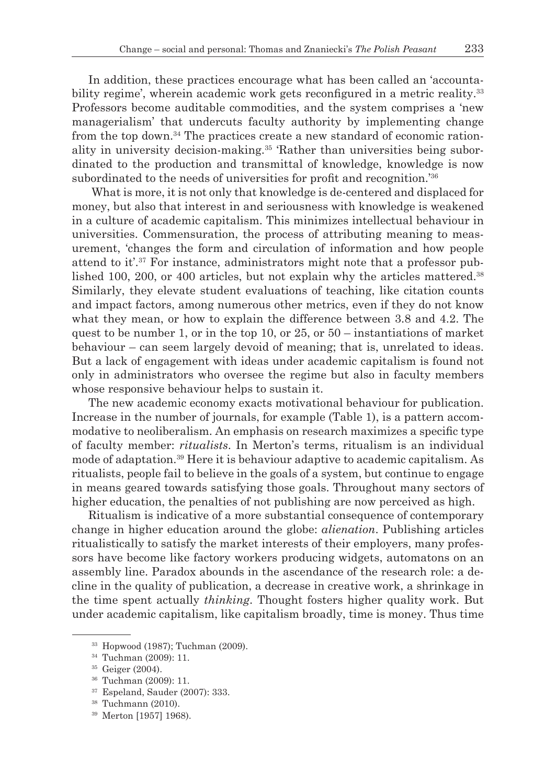In addition, these practices encourage what has been called an 'accountability regime', wherein academic work gets reconfigured in a metric reality.<sup>33</sup> Professors become auditable commodities, and the system comprises a 'new managerialism' that undercuts faculty authority by implementing change from the top down.<sup>34</sup> The practices create a new standard of economic rationality in university decision-making.35 'Rather than universities being subordinated to the production and transmittal of knowledge, knowledge is now subordinated to the needs of universities for profit and recognition.<sup>'36</sup>

What is more, it is not only that knowledge is de-centered and displaced for money, but also that interest in and seriousness with knowledge is weakened in a culture of academic capitalism. This minimizes intellectual behaviour in universities. Commensuration, the process of attributing meaning to measurement, 'changes the form and circulation of information and how people attend to it'. $37$  For instance, administrators might note that a professor published 100, 200, or 400 articles, but not explain why the articles mattered.<sup>38</sup> Similarly, they elevate student evaluations of teaching, like citation counts and impact factors, among numerous other metrics, even if they do not know what they mean, or how to explain the difference between 3.8 and 4.2. The quest to be number 1, or in the top 10, or  $25$ , or  $50$  – instantiations of market behaviour – can seem largely devoid of meaning; that is, unrelated to ideas. But a lack of engagement with ideas under academic capitalism is found not only in administrators who oversee the regime but also in faculty members whose responsive behaviour helps to sustain it.

The new academic economy exacts motivational behaviour for publication. Increase in the number of journals, for example (Table 1), is a pattern accommodative to neoliberalism. An emphasis on research maximizes a specific type of faculty member: *ritualists*. In Merton's terms, ritualism is an individual mode of adaptation.39 Here it is behaviour adaptive to academic capitalism. As ritualists, people fail to believe in the goals of a system, but continue to engage in means geared towards satisfying those goals. Throughout many sectors of higher education, the penalties of not publishing are now perceived as high.

Ritualism is indicative of a more substantial consequence of contemporary change in higher education around the globe: *alienation*. Publishing articles ritualistically to satisfy the market interests of their employers, many professors have become like factory workers producing widgets, automatons on an assembly line. Paradox abounds in the ascendance of the research role: a decline in the quality of publication, a decrease in creative work, a shrinkage in the time spent actually *thinking*. Thought fosters higher quality work. But under academic capitalism, like capitalism broadly, time is money. Thus time

<sup>37</sup> Espeland, Sauder (2007): 333.

<sup>39</sup> Merton [1957] 1968).

<sup>33</sup> Hopwood (1987); Tuchman (2009).

<sup>34</sup> Tuchman (2009): 11.

<sup>35</sup> Geiger (2004).

<sup>36</sup> Tuchman (2009): 11.

<sup>38</sup> Tuchmann (2010).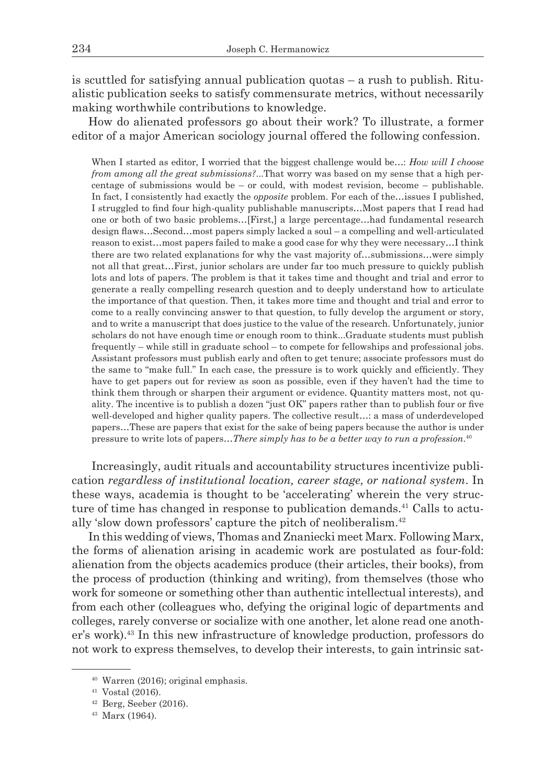is scuttled for satisfying annual publication quotas  $-$  a rush to publish. Ritualistic publication seeks to satisfy commensurate metrics, without necessarily making worthwhile contributions to knowledge.

How do alienated professors go about their work? To illustrate, a former editor of a major American sociology journal offered the following confession.

When I started as editor, I worried that the biggest challenge would be…: *How will I choose from among all the great submissions?*...That worry was based on my sense that a high percentage of submissions would be – or could, with modest revision, become – publishable. In fact, I consistently had exactly the *opposite* problem. For each of the…issues I published, I struggled to find four high-quality publishable manuscripts…Most papers that I read had one or both of two basic problems…[First,] a large percentage…had fundamental research design flaws…Second…most papers simply lacked a soul – a compelling and well-articulated reason to exist…most papers failed to make a good case for why they were necessary…I think there are two related explanations for why the vast majority of…submissions…were simply not all that great…First, junior scholars are under far too much pressure to quickly publish lots and lots of papers. The problem is that it takes time and thought and trial and error to generate a really compelling research question and to deeply understand how to articulate the importance of that question. Then, it takes more time and thought and trial and error to come to a really convincing answer to that question, to fully develop the argument or story, and to write a manuscript that does justice to the value of the research. Unfortunately, junior scholars do not have enough time or enough room to think...Graduate students must publish frequently – while still in graduate school – to compete for fellowships and professional jobs. Assistant professors must publish early and often to get tenure; associate professors must do the same to "make full." In each case, the pressure is to work quickly and efficiently. They have to get papers out for review as soon as possible, even if they haven't had the time to think them through or sharpen their argument or evidence. Quantity matters most, not quality. The incentive is to publish a dozen "just OK" papers rather than to publish four or five well-developed and higher quality papers. The collective result…: a mass of underdeveloped papers…These are papers that exist for the sake of being papers because the author is under pressure to write lots of papers…*There simply has to be a better way to run a profession*. 40

Increasingly, audit rituals and accountability structures incentivize publication *regardless of institutional location, career stage, or national system*. In these ways, academia is thought to be 'accelerating' wherein the very structure of time has changed in response to publication demands.41 Calls to actually 'slow down professors' capture the pitch of neoliberalism.<sup>42</sup>

In this wedding of views, Thomas and Znaniecki meet Marx. Following Marx, the forms of alienation arising in academic work are postulated as four-fold: alienation from the objects academics produce (their articles, their books), from the process of production (thinking and writing), from themselves (those who work for someone or something other than authentic intellectual interests), and from each other (colleagues who, defying the original logic of departments and colleges, rarely converse or socialize with one another, let alone read one another's work).43 In this new infrastructure of knowledge production, professors do not work to express themselves, to develop their interests, to gain intrinsic sat-

<sup>40</sup> Warren (2016); original emphasis.

<sup>41</sup> Vostal (2016).

<sup>42</sup> Berg, Seeber (2016).

<sup>43</sup> Marx (1964).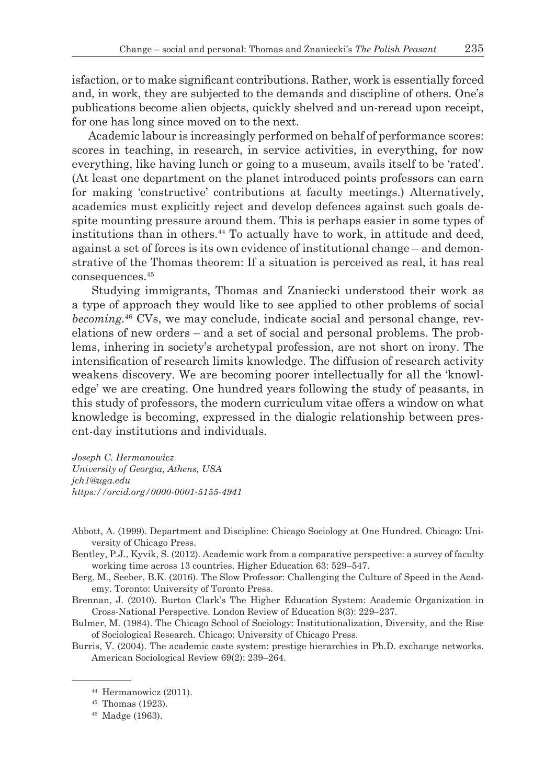isfaction, or to make significant contributions. Rather, work is essentially forced and, in work, they are subjected to the demands and discipline of others. One's publications become alien objects, quickly shelved and un-reread upon receipt, for one has long since moved on to the next.

Academic labour is increasingly performed on behalf of performance scores: scores in teaching, in research, in service activities, in everything, for now everything, like having lunch or going to a museum, avails itself to be 'rated'. (At least one department on the planet introduced points professors can earn for making 'constructive' contributions at faculty meetings.) Alternatively, academics must explicitly reject and develop defences against such goals despite mounting pressure around them. This is perhaps easier in some types of institutions than in others.44 To actually have to work, in attitude and deed, against a set of forces is its own evidence of institutional change – and demonstrative of the Thomas theorem: If a situation is perceived as real, it has real consequences.45

Studying immigrants, Thomas and Znaniecki understood their work as a type of approach they would like to see applied to other problems of social *becoming.*46 CVs, we may conclude, indicate social and personal change, revelations of new orders – and a set of social and personal problems. The problems, inhering in society's archetypal profession, are not short on irony. The intensification of research limits knowledge. The diffusion of research activity weakens discovery. We are becoming poorer intellectually for all the 'knowledge' we are creating. One hundred years following the study of peasants, in this study of professors, the modern curriculum vitae offers a window on what knowledge is becoming, expressed in the dialogic relationship between present-day institutions and individuals.

*Joseph C. Hermanowicz University of Georgia, Athens, USA jch1@uga.edu https://orcid.org/0000-0001-5155-4941*

Abbott, A. (1999). Department and Discipline: Chicago Sociology at One Hundred. Chicago: University of Chicago Press.

Bentley, P.J., Kyvik, S. (2012). Academic work from a comparative perspective: a survey of faculty working time across 13 countries. Higher Education 63: 529–547.

Berg, M., Seeber, B.K. (2016). The Slow Professor: Challenging the Culture of Speed in the Academy. Toronto: University of Toronto Press.

Brennan, J. (2010). Burton Clark's The Higher Education System: Academic Organization in Cross-National Perspective. London Review of Education 8(3): 229–237.

Bulmer, M. (1984). The Chicago School of Sociology: Institutionalization, Diversity, and the Rise of Sociological Research. Chicago: University of Chicago Press.

Burris, V. (2004). The academic caste system: prestige hierarchies in Ph.D. exchange networks. American Sociological Review 69(2): 239–264.

<sup>44</sup> Hermanowicz (2011).

<sup>45</sup> Thomas (1923).

<sup>46</sup> Madge (1963).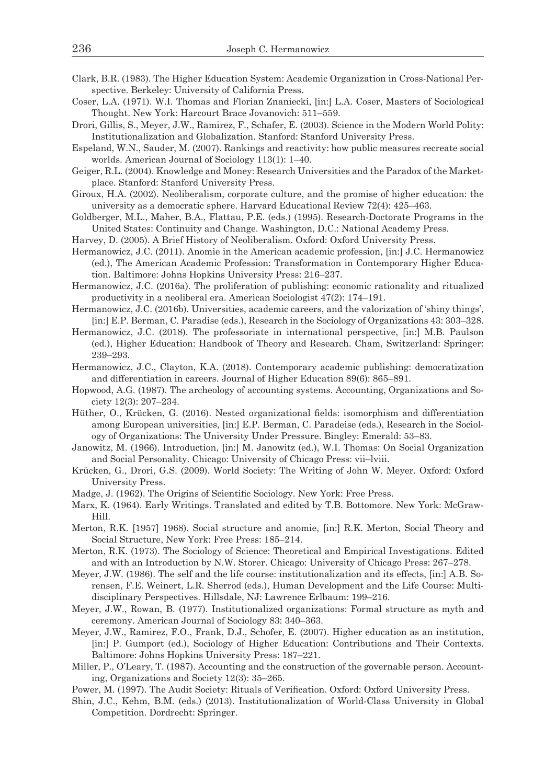- Clark, B.R. (1983). The Higher Education System: Academic Organization in Cross-National Perspective. Berkeley: University of California Press.
- Coser, L.A. (1971). W.I. Thomas and Florian Znaniecki, [in:] L.A. Coser, Masters of Sociological Thought. New York: Harcourt Brace Jovanovich: 511–559.
- Drori, Gillis, S., Meyer, J.W., Ramirez, F., Schafer, E. (2003). Science in the Modern World Polity: Institutionalization and Globalization. Stanford: Stanford University Press.
- Espeland, W.N., Sauder, M. (2007). Rankings and reactivity: how public measures recreate social worlds. American Journal of Sociology 113(1): 1–40.
- Geiger, R.L. (2004). Knowledge and Money: Research Universities and the Paradox of the Marketplace. Stanford: Stanford University Press.
- Giroux, H.A. (2002). Neoliberalism, corporate culture, and the promise of higher education: the university as a democratic sphere. Harvard Educational Review 72(4): 425–463.
- Goldberger, M.L., Maher, B.A., Flattau, P.E. (eds.) (1995). Research-Doctorate Programs in the United States: Continuity and Change. Washington, D.C.: National Academy Press.
- Harvey, D. (2005). A Brief History of Neoliberalism. Oxford: Oxford University Press.
- Hermanowicz, J.C. (2011). Anomie in the American academic profession, [in:] J.C. Hermanowicz (ed.), The American Academic Profession: Transformation in Contemporary Higher Education. Baltimore: Johns Hopkins University Press: 216–237.
- Hermanowicz, J.C. (2016a). The proliferation of publishing: economic rationality and ritualized productivity in a neoliberal era. American Sociologist 47(2): 174–191.
- Hermanowicz, J.C. (2016b). Universities, academic careers, and the valorization of 'shiny things', [in:] E.P. Berman, C. Paradise (eds.), Research in the Sociology of Organizations 43: 303–328.
- Hermanowicz, J.C. (2018). The professoriate in international perspective, [in:] M.B. Paulson (ed.), Higher Education: Handbook of Theory and Research. Cham, Switzerland: Springer: 239–293.
- Hermanowicz, J.C., Clayton, K.A. (2018). Contemporary academic publishing: democratization and differentiation in careers. Journal of Higher Education 89(6): 865–891.
- Hopwood, A.G. (1987). The archeology of accounting systems. Accounting, Organizations and Society 12(3): 207–234.
- Hüther, O., Krücken, G. (2016). Nested organizational fields: isomorphism and differentiation among European universities, [in:] E.P. Berman, C. Paradeise (eds.), Research in the Sociology of Organizations: The University Under Pressure. Bingley: Emerald: 53–83.
- Janowitz, M. (1966). Introduction, [in:] M. Janowitz (ed.), W.I. Thomas: On Social Organization and Social Personality. Chicago: University of Chicago Press: vii–lviii.
- Krücken, G., Drori, G.S. (2009). World Society: The Writing of John W. Meyer. Oxford: Oxford University Press.
- Madge, J. (1962). The Origins of Scientific Sociology. New York: Free Press.
- Marx, K. (1964). Early Writings. Translated and edited by T.B. Bottomore. New York: McGraw-Hill.
- Merton, R.K. [1957] 1968). Social structure and anomie, [in:] R.K. Merton, Social Theory and Social Structure, New York: Free Press: 185–214.
- Merton, R.K. (1973). The Sociology of Science: Theoretical and Empirical Investigations. Edited and with an Introduction by N.W. Storer. Chicago: University of Chicago Press: 267–278.
- Meyer, J.W. (1986). The self and the life course: institutionalization and its effects, [in:] A.B. Sorensen, F.E. Weinert, L.R. Sherrod (eds.), Human Development and the Life Course: Multidisciplinary Perspectives. Hillsdale, NJ: Lawrence Erlbaum: 199–216.
- Meyer, J.W., Rowan, B. (1977). Institutionalized organizations: Formal structure as myth and ceremony. American Journal of Sociology 83: 340–363.
- Meyer, J.W., Ramirez, F.O., Frank, D.J., Schofer, E. (2007). Higher education as an institution, [in:] P. Gumport (ed.), Sociology of Higher Education: Contributions and Their Contexts. Baltimore: Johns Hopkins University Press: 187–221.
- Miller, P., O'Leary, T. (1987). Accounting and the construction of the governable person. Accounting, Organizations and Society 12(3): 35–265.
- Power, M. (1997). The Audit Society: Rituals of Verification. Oxford: Oxford University Press.
- Shin, J.C., Kehm, B.M. (eds.) (2013). Institutionalization of World-Class University in Global Competition. Dordrecht: Springer.